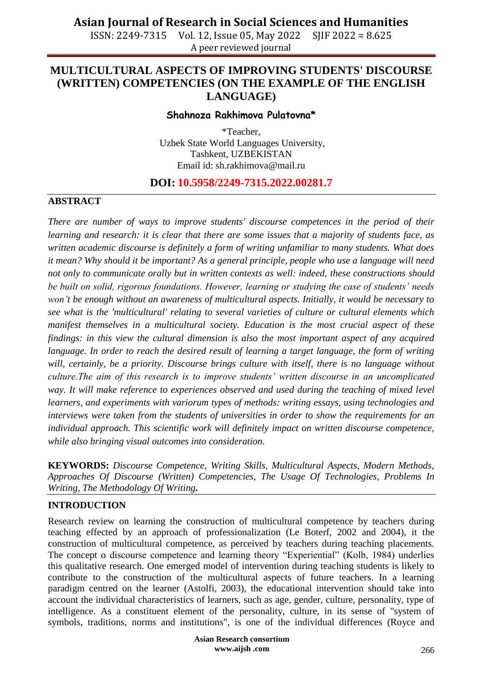ISSN: 2249-7315 Vol. 12, Issue 05, May 2022 SJIF 2022 = 8.625 A peer reviewed journal

### **MULTICULTURAL ASPECTS OF IMPROVING STUDENTS' DISCOURSE (WRITTEN) COMPETENCIES (ON THE EXAMPLE OF THE ENGLISH LANGUAGE)**

#### **Shahnoza Rakhimova Pulatovna\***

\*Teacher, Uzbek State World Languages University, Tashkent, UZBEKISTAN Email id: [sh.rakhimova@mail.ru](mailto:sh.rakhimova@mail.ru)

### **DOI: 10.5958/2249-7315.2022.00281.7**

#### **ABSTRACT**

*There are number of ways to improve students' discourse competences in the period of their learning and research: it is clear that there are some issues that a majority of students face, as written academic discourse is definitely a form of writing unfamiliar to many students. What does it mean? Why should it be important? As a general principle, people who use a language will need not only to communicate orally but in written contexts as well: indeed, these constructions should be built on solid, rigorous foundations. However, learning or studying the case of students' needs won't be enough without an awareness of multicultural aspects. Initially, it would be necessary to see what is the 'multicultural' relating to several varieties of culture or cultural elements which manifest themselves in a multicultural society. Education is the most crucial aspect of these findings: in this view the cultural dimension is also the most important aspect of any acquired language. In order to reach the desired result of learning a target language, the form of writing* will, certainly, be a priority. Discourse brings culture with itself, there is no language without *culture.The aim of this research is to improve students' written discourse in an uncomplicated way. It will make reference to experiences observed and used during the teaching of mixed level learners, and experiments with variorum types of methods: writing essays, using technologies and interviews were taken from the students of universities in order to show the requirements for an individual approach. This scientific work will definitely impact on written discourse competence, while also bringing visual outcomes into consideration.*

**KEYWORDS:** *Discourse Competence, Writing Skills, Multicultural Aspects, Modern Methods, Approaches Of Discourse (Written) Competencies, The Usage Of Technologies, Problems In Writing, The Methodology Of Writing.*

#### **INTRODUCTION**

Research review on learning the construction of multicultural competence by teachers during teaching effected by an approach of professionalization (Le Boterf, 2002 and 2004), it the construction of multicultural competence, as perceived by teachers during teaching placements. The concept o discourse competence and learning theory "Experiential" (Kolb, 1984) underlies this qualitative research. One emerged model of intervention during teaching students is likely to contribute to the construction of the multicultural aspects of future teachers. In a learning paradigm centred on the learner (Astolfi, 2003), the educational intervention should take into account the individual characteristics of learners, such as age, gender, culture, personality, type of intelligence. As a constituent element of the personality, culture, in its sense of "system of symbols, traditions, norms and institutions", is one of the individual differences (Royce and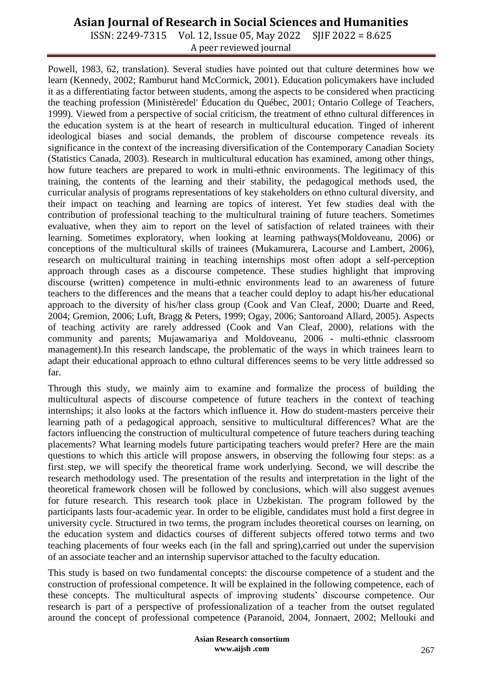ISSN: 2249-7315 Vol. 12, Issue 05, May 2022 SJIF 2022 = 8.625 A peer reviewed journal

Powell, 1983, 62, translation). Several studies have pointed out that culture determines how we learn (Kennedy, 2002; Ramburut hand McCormick, 2001). Education policymakers have included it as a differentiating factor between students, among the aspects to be considered when practicing the teaching profession (Ministèredel' Éducation du Québec, 2001; Ontario College of Teachers, 1999). Viewed from a perspective of social criticism, the treatment of ethno cultural differences in the education system is at the heart of research in multicultural education. Tinged of inherent ideological biases and social demands, the problem of discourse competence reveals its significance in the context of the increasing diversification of the Contemporary Canadian Society (Statistics Canada, 2003). Research in multicultural education has examined, among other things, how future teachers are prepared to work in multi-ethnic environments. The legitimacy of this training, the contents of the learning and their stability, the pedagogical methods used, the curricular analysis of programs representations of key stakeholders on ethno cultural diversity, and their impact on teaching and learning are topics of interest. Yet few studies deal with the contribution of professional teaching to the multicultural training of future teachers. Sometimes evaluative, when they aim to report on the level of satisfaction of related trainees with their learning. Sometimes exploratory, when looking at learning pathways(Moldoveanu, 2006) or conceptions of the multicultural skills of trainees (Mukamurera, Lacourse and Lambert, 2006), research on multicultural training in teaching internships most often adopt a self-perception approach through cases as a discourse competence. These studies highlight that improving discourse (written) competence in multi-ethnic environments lead to an awareness of future teachers to the differences and the means that a teacher could deploy to adapt his/her educational approach to the diversity of his/her class group (Cook and Van Cleaf, 2000; Duarte and Reed, 2004; Gremion, 2006; Luft, Bragg & Peters, 1999; Ogay, 2006; Santoroand Allard, 2005). Aspects of teaching activity are rarely addressed (Cook and Van Cleaf, 2000), relations with the community and parents; Mujawamariya and Moldoveanu, 2006 - multi-ethnic classroom management).In this research landscape, the problematic of the ways in which trainees learn to adapt their educational approach to ethno cultural differences seems to be very little addressed so far.

Through this study, we mainly aim to examine and formalize the process of building the multicultural aspects of discourse competence of future teachers in the context of teaching internships; it also looks at the factors which influence it. How do student-masters perceive their learning path of a pedagogical approach, sensitive to multicultural differences? What are the factors influencing the construction of multicultural competence of future teachers during teaching placements? What learning models future participating teachers would prefer? Here are the main questions to which this article will propose answers, in observing the following four steps: as a first step, we will specify the theoretical frame work underlying. Second, we will describe the research methodology used. The presentation of the results and interpretation in the light of the theoretical framework chosen will be followed by conclusions, which will also suggest avenues for future research. This research took place in Uzbekistan. The program followed by the participants lasts four-academic year. In order to be eligible, candidates must hold a first degree in university cycle. Structured in two terms, the program includes theoretical courses on learning, on the education system and didactics courses of different subjects offered totwo terms and two teaching placements of four weeks each (in the fall and spring),carried out under the supervision of an associate teacher and an internship supervisor attached to the faculty education.

This study is based on two fundamental concepts: the discourse competence of a student and the construction of professional competence. It will be explained in the following competence, each of these concepts. The multicultural aspects of improving students' discourse competence. Our research is part of a perspective of professionalization of a teacher from the outset regulated around the concept of professional competence (Paranoid, 2004, Jonnaert, 2002; Mellouki and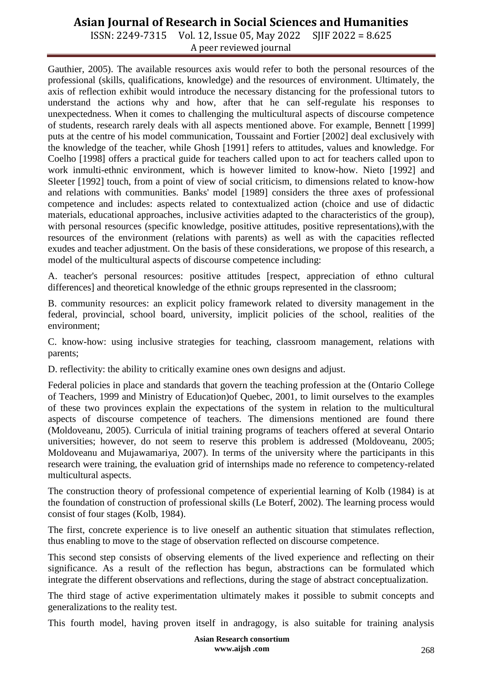ISSN: 2249-7315 Vol. 12, Issue 05, May 2022 SJIF 2022 = 8.625 A peer reviewed journal

Gauthier, 2005). The available resources axis would refer to both the personal resources of the professional (skills, qualifications, knowledge) and the resources of environment. Ultimately, the axis of reflection exhibit would introduce the necessary distancing for the professional tutors to understand the actions why and how, after that he can self-regulate his responses to unexpectedness. When it comes to challenging the multicultural aspects of discourse competence of students, research rarely deals with all aspects mentioned above. For example, Bennett [1999] puts at the centre of his model communication, Toussaint and Fortier [2002] deal exclusively with the knowledge of the teacher, while Ghosh [1991] refers to attitudes, values and knowledge. For Coelho [1998] offers a practical guide for teachers called upon to act for teachers called upon to work inmulti-ethnic environment, which is however limited to know-how. Nieto [1992] and Sleeter [1992] touch, from a point of view of social criticism, to dimensions related to know-how and relations with communities. Banks' model [1989] considers the three axes of professional competence and includes: aspects related to contextualized action (choice and use of didactic materials, educational approaches, inclusive activities adapted to the characteristics of the group), with personal resources (specific knowledge, positive attitudes, positive representations),with the resources of the environment (relations with parents) as well as with the capacities reflected exudes and teacher adjustment. On the basis of these considerations, we propose of this research, a model of the multicultural aspects of discourse competence including:

A. teacher's personal resources: positive attitudes [respect, appreciation of ethno cultural differences] and theoretical knowledge of the ethnic groups represented in the classroom;

B. community resources: an explicit policy framework related to diversity management in the federal, provincial, school board, university, implicit policies of the school, realities of the environment;

C. know-how: using inclusive strategies for teaching, classroom management, relations with parents;

D. reflectivity: the ability to critically examine ones own designs and adjust.

Federal policies in place and standards that govern the teaching profession at the (Ontario College of Teachers, 1999 and Ministry of Education)of Quebec, 2001, to limit ourselves to the examples of these two provinces explain the expectations of the system in relation to the multicultural aspects of discourse competence of teachers. The dimensions mentioned are found there (Moldoveanu, 2005). Curricula of initial training programs of teachers offered at several Ontario universities; however, do not seem to reserve this problem is addressed (Moldoveanu, 2005; Moldoveanu and Mujawamariya, 2007). In terms of the university where the participants in this research were training, the evaluation grid of internships made no reference to competency-related multicultural aspects.

The construction theory of professional competence of experiential learning of Kolb (1984) is at the foundation of construction of professional skills (Le Boterf, 2002). The learning process would consist of four stages (Kolb, 1984).

The first, concrete experience is to live oneself an authentic situation that stimulates reflection, thus enabling to move to the stage of observation reflected on discourse competence.

This second step consists of observing elements of the lived experience and reflecting on their significance. As a result of the reflection has begun, abstractions can be formulated which integrate the different observations and reflections, during the stage of abstract conceptualization.

The third stage of active experimentation ultimately makes it possible to submit concepts and generalizations to the reality test.

This fourth model, having proven itself in andragogy, is also suitable for training analysis

**Asian Research consortium www.aijsh .com**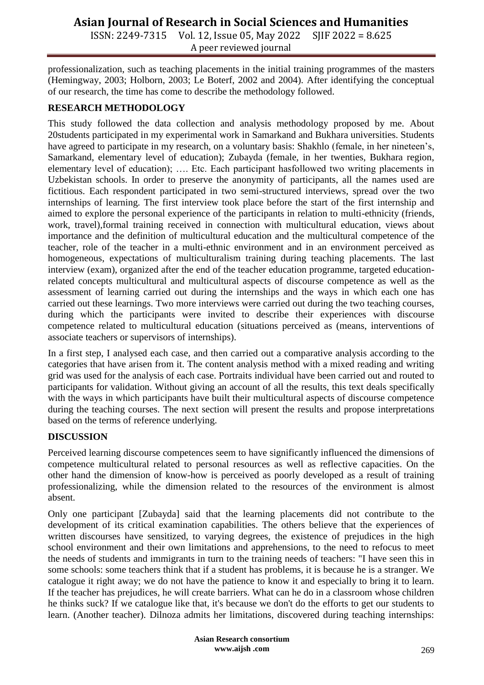ISSN: 2249-7315 Vol. 12, Issue 05, May 2022 SJIF 2022 = 8.625 A peer reviewed journal

professionalization, such as teaching placements in the initial training programmes of the masters (Hemingway, 2003; Holborn, 2003; Le Boterf, 2002 and 2004). After identifying the conceptual of our research, the time has come to describe the methodology followed.

### **RESEARCH METHODOLOGY**

This study followed the data collection and analysis methodology proposed by me. About 20students participated in my experimental work in Samarkand and Bukhara universities. Students have agreed to participate in my research, on a voluntary basis: Shakhlo (female, in her nineteen's, Samarkand, elementary level of education); Zubayda (female, in her twenties, Bukhara region, elementary level of education); …. Etc. Each participant hasfollowed two writing placements in Uzbekistan schools. In order to preserve the anonymity of participants, all the names used are fictitious. Each respondent participated in two semi-structured interviews, spread over the two internships of learning. The first interview took place before the start of the first internship and aimed to explore the personal experience of the participants in relation to multi-ethnicity (friends, work, travel),formal training received in connection with multicultural education, views about importance and the definition of multicultural education and the multicultural competence of the teacher, role of the teacher in a multi-ethnic environment and in an environment perceived as homogeneous, expectations of multiculturalism training during teaching placements. The last interview (exam), organized after the end of the teacher education programme, targeted educationrelated concepts multicultural and multicultural aspects of discourse competence as well as the assessment of learning carried out during the internships and the ways in which each one has carried out these learnings. Two more interviews were carried out during the two teaching courses, during which the participants were invited to describe their experiences with discourse competence related to multicultural education (situations perceived as (means, interventions of associate teachers or supervisors of internships).

In a first step, I analysed each case, and then carried out a comparative analysis according to the categories that have arisen from it. The content analysis method with a mixed reading and writing grid was used for the analysis of each case. Portraits individual have been carried out and routed to participants for validation. Without giving an account of all the results, this text deals specifically with the ways in which participants have built their multicultural aspects of discourse competence during the teaching courses. The next section will present the results and propose interpretations based on the terms of reference underlying.

### **DISCUSSION**

Perceived learning discourse competences seem to have significantly influenced the dimensions of competence multicultural related to personal resources as well as reflective capacities. On the other hand the dimension of know-how is perceived as poorly developed as a result of training professionalizing, while the dimension related to the resources of the environment is almost absent.

Only one participant [Zubayda] said that the learning placements did not contribute to the development of its critical examination capabilities. The others believe that the experiences of written discourses have sensitized, to varying degrees, the existence of prejudices in the high school environment and their own limitations and apprehensions, to the need to refocus to meet the needs of students and immigrants in turn to the training needs of teachers: "I have seen this in some schools: some teachers think that if a student has problems, it is because he is a stranger. We catalogue it right away; we do not have the patience to know it and especially to bring it to learn. If the teacher has prejudices, he will create barriers. What can he do in a classroom whose children he thinks suck? If we catalogue like that, it's because we don't do the efforts to get our students to learn. (Another teacher). Dilnoza admits her limitations, discovered during teaching internships:

> **Asian Research consortium www.aijsh .com**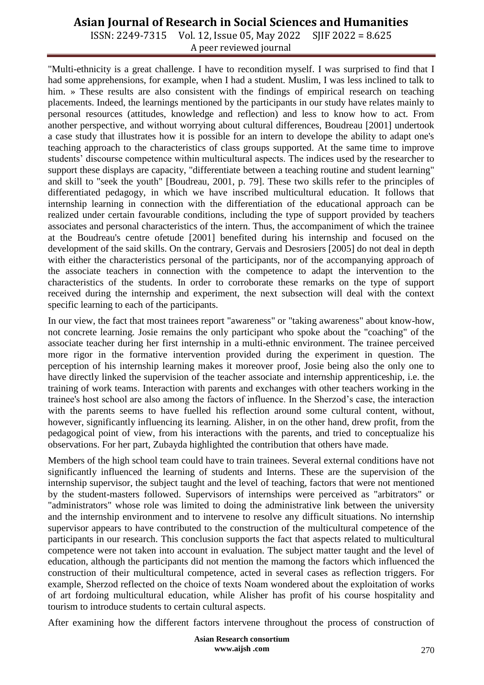ISSN: 2249-7315 Vol. 12, Issue 05, May 2022 SJIF 2022 = 8.625 A peer reviewed journal

"Multi-ethnicity is a great challenge. I have to recondition myself. I was surprised to find that I had some apprehensions, for example, when I had a student. Muslim, I was less inclined to talk to him. » These results are also consistent with the findings of empirical research on teaching placements. Indeed, the learnings mentioned by the participants in our study have relates mainly to personal resources (attitudes, knowledge and reflection) and less to know how to act. From another perspective, and without worrying about cultural differences, Boudreau [2001] undertook a case study that illustrates how it is possible for an intern to develope the ability to adapt one's teaching approach to the characteristics of class groups supported. At the same time to improve students' discourse competence within multicultural aspects. The indices used by the researcher to support these displays are capacity, "differentiate between a teaching routine and student learning" and skill to "seek the youth" [Boudreau, 2001, p. 79]. These two skills refer to the principles of differentiated pedagogy, in which we have inscribed multicultural education. It follows that internship learning in connection with the differentiation of the educational approach can be realized under certain favourable conditions, including the type of support provided by teachers associates and personal characteristics of the intern. Thus, the accompaniment of which the trainee at the Boudreau's centre ofetude [2001] benefited during his internship and focused on the development of the said skills. On the contrary, Gervais and Desrosiers [2005] do not deal in depth with either the characteristics personal of the participants, nor of the accompanying approach of the associate teachers in connection with the competence to adapt the intervention to the characteristics of the students. In order to corroborate these remarks on the type of support received during the internship and experiment, the next subsection will deal with the context specific learning to each of the participants.

In our view, the fact that most trainees report "awareness" or "taking awareness" about know-how, not concrete learning. Josie remains the only participant who spoke about the "coaching" of the associate teacher during her first internship in a multi-ethnic environment. The trainee perceived more rigor in the formative intervention provided during the experiment in question. The perception of his internship learning makes it moreover proof, Josie being also the only one to have directly linked the supervision of the teacher associate and internship apprenticeship, i.e. the training of work teams. Interaction with parents and exchanges with other teachers working in the trainee's host school are also among the factors of influence. In the Sherzod's case, the interaction with the parents seems to have fuelled his reflection around some cultural content, without, however, significantly influencing its learning. Alisher, in on the other hand, drew profit, from the pedagogical point of view, from his interactions with the parents, and tried to conceptualize his observations. For her part, Zubayda highlighted the contribution that others have made.

Members of the high school team could have to train trainees. Several external conditions have not significantly influenced the learning of students and Interns. These are the supervision of the internship supervisor, the subject taught and the level of teaching, factors that were not mentioned by the student-masters followed. Supervisors of internships were perceived as "arbitrators" or "administrators" whose role was limited to doing the administrative link between the university and the internship environment and to intervene to resolve any difficult situations. No internship supervisor appears to have contributed to the construction of the multicultural competence of the participants in our research. This conclusion supports the fact that aspects related to multicultural competence were not taken into account in evaluation. The subject matter taught and the level of education, although the participants did not mention the mamong the factors which influenced the construction of their multicultural competence, acted in several cases as reflection triggers. For example, Sherzod reflected on the choice of texts Noam wondered about the exploitation of works of art fordoing multicultural education, while Alisher has profit of his course hospitality and tourism to introduce students to certain cultural aspects.

After examining how the different factors intervene throughout the process of construction of

**Asian Research consortium www.aijsh .com**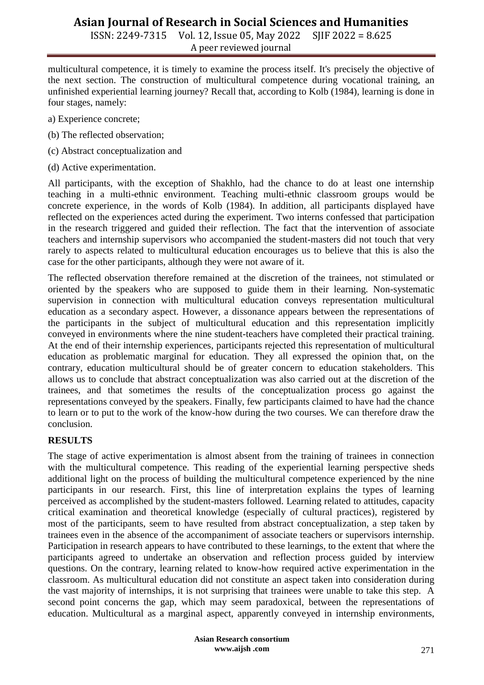ISSN: 2249-7315 Vol. 12, Issue 05, May 2022 SJIF 2022 = 8.625 A peer reviewed journal

multicultural competence, it is timely to examine the process itself. It's precisely the objective of the next section. The construction of multicultural competence during vocational training, an unfinished experiential learning journey? Recall that, according to Kolb (1984), learning is done in four stages, namely:

- a) Experience concrete;
- (b) The reflected observation;
- (c) Abstract conceptualization and
- (d) Active experimentation.

All participants, with the exception of Shakhlo, had the chance to do at least one internship teaching in a multi-ethnic environment. Teaching multi-ethnic classroom groups would be concrete experience, in the words of Kolb (1984). In addition, all participants displayed have reflected on the experiences acted during the experiment. Two interns confessed that participation in the research triggered and guided their reflection. The fact that the intervention of associate teachers and internship supervisors who accompanied the student-masters did not touch that very rarely to aspects related to multicultural education encourages us to believe that this is also the case for the other participants, although they were not aware of it.

The reflected observation therefore remained at the discretion of the trainees, not stimulated or oriented by the speakers who are supposed to guide them in their learning. Non-systematic supervision in connection with multicultural education conveys representation multicultural education as a secondary aspect. However, a dissonance appears between the representations of the participants in the subject of multicultural education and this representation implicitly conveyed in environments where the nine student-teachers have completed their practical training. At the end of their internship experiences, participants rejected this representation of multicultural education as problematic marginal for education. They all expressed the opinion that, on the contrary, education multicultural should be of greater concern to education stakeholders. This allows us to conclude that abstract conceptualization was also carried out at the discretion of the trainees, and that sometimes the results of the conceptualization process go against the representations conveyed by the speakers. Finally, few participants claimed to have had the chance to learn or to put to the work of the know-how during the two courses. We can therefore draw the conclusion.

#### **RESULTS**

The stage of active experimentation is almost absent from the training of trainees in connection with the multicultural competence. This reading of the experiential learning perspective sheds additional light on the process of building the multicultural competence experienced by the nine participants in our research. First, this line of interpretation explains the types of learning perceived as accomplished by the student-masters followed. Learning related to attitudes, capacity critical examination and theoretical knowledge (especially of cultural practices), registered by most of the participants, seem to have resulted from abstract conceptualization, a step taken by trainees even in the absence of the accompaniment of associate teachers or supervisors internship. Participation in research appears to have contributed to these learnings, to the extent that where the participants agreed to undertake an observation and reflection process guided by interview questions. On the contrary, learning related to know-how required active experimentation in the classroom. As multicultural education did not constitute an aspect taken into consideration during the vast majority of internships, it is not surprising that trainees were unable to take this step. A second point concerns the gap, which may seem paradoxical, between the representations of education. Multicultural as a marginal aspect, apparently conveyed in internship environments,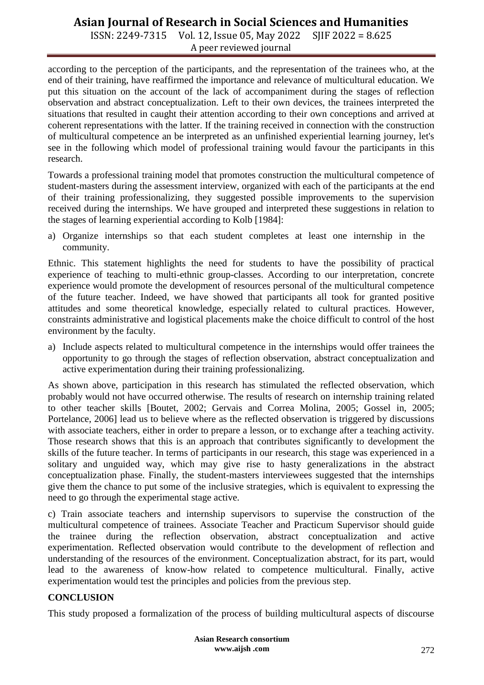ISSN: 2249-7315 Vol. 12, Issue 05, May 2022 SJIF 2022 = 8.625 A peer reviewed journal

according to the perception of the participants, and the representation of the trainees who, at the end of their training, have reaffirmed the importance and relevance of multicultural education. We put this situation on the account of the lack of accompaniment during the stages of reflection observation and abstract conceptualization. Left to their own devices, the trainees interpreted the situations that resulted in caught their attention according to their own conceptions and arrived at coherent representations with the latter. If the training received in connection with the construction of multicultural competence an be interpreted as an unfinished experiential learning journey, let's see in the following which model of professional training would favour the participants in this research.

Towards a professional training model that promotes construction the multicultural competence of student-masters during the assessment interview, organized with each of the participants at the end of their training professionalizing, they suggested possible improvements to the supervision received during the internships. We have grouped and interpreted these suggestions in relation to the stages of learning experiential according to Kolb [1984]:

a) Organize internships so that each student completes at least one internship in the community.

Ethnic. This statement highlights the need for students to have the possibility of practical experience of teaching to multi-ethnic group-classes. According to our interpretation, concrete experience would promote the development of resources personal of the multicultural competence of the future teacher. Indeed, we have showed that participants all took for granted positive attitudes and some theoretical knowledge, especially related to cultural practices. However, constraints administrative and logistical placements make the choice difficult to control of the host environment by the faculty.

a) Include aspects related to multicultural competence in the internships would offer trainees the opportunity to go through the stages of reflection observation, abstract conceptualization and active experimentation during their training professionalizing.

As shown above, participation in this research has stimulated the reflected observation, which probably would not have occurred otherwise. The results of research on internship training related to other teacher skills [Boutet, 2002; Gervais and Correa Molina, 2005; Gossel in, 2005; Portelance, 2006] lead us to believe where as the reflected observation is triggered by discussions with associate teachers, either in order to prepare a lesson, or to exchange after a teaching activity. Those research shows that this is an approach that contributes significantly to development the skills of the future teacher. In terms of participants in our research, this stage was experienced in a solitary and unguided way, which may give rise to hasty generalizations in the abstract conceptualization phase. Finally, the student-masters interviewees suggested that the internships give them the chance to put some of the inclusive strategies, which is equivalent to expressing the need to go through the experimental stage active.

c) Train associate teachers and internship supervisors to supervise the construction of the multicultural competence of trainees. Associate Teacher and Practicum Supervisor should guide the trainee during the reflection observation, abstract conceptualization and active experimentation. Reflected observation would contribute to the development of reflection and understanding of the resources of the environment. Conceptualization abstract, for its part, would lead to the awareness of know-how related to competence multicultural. Finally, active experimentation would test the principles and policies from the previous step.

### **CONCLUSION**

This study proposed a formalization of the process of building multicultural aspects of discourse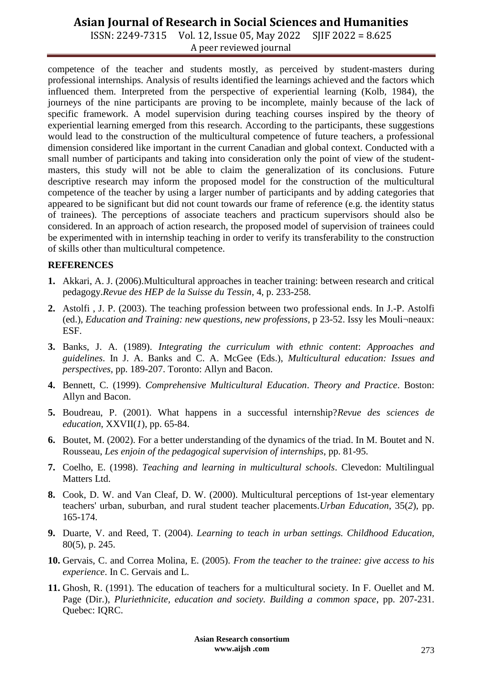ISSN: 2249-7315 Vol. 12, Issue 05, May 2022 SJIF 2022 = 8.625 A peer reviewed journal

competence of the teacher and students mostly, as perceived by student-masters during professional internships. Analysis of results identified the learnings achieved and the factors which influenced them. Interpreted from the perspective of experiential learning (Kolb, 1984), the journeys of the nine participants are proving to be incomplete, mainly because of the lack of specific framework. A model supervision during teaching courses inspired by the theory of experiential learning emerged from this research. According to the participants, these suggestions would lead to the construction of the multicultural competence of future teachers, a professional dimension considered like important in the current Canadian and global context. Conducted with a small number of participants and taking into consideration only the point of view of the studentmasters, this study will not be able to claim the generalization of its conclusions. Future descriptive research may inform the proposed model for the construction of the multicultural competence of the teacher by using a larger number of participants and by adding categories that appeared to be significant but did not count towards our frame of reference (e.g. the identity status of trainees). The perceptions of associate teachers and practicum supervisors should also be considered. In an approach of action research, the proposed model of supervision of trainees could be experimented with in internship teaching in order to verify its transferability to the construction of skills other than multicultural competence.

#### **REFERENCES**

- **1.** Akkari, A. J. (2006).Multicultural approaches in teacher training: between research and critical pedagogy.*Revue des HEP de la Suisse du Tessin*, 4, p. 233-258.
- **2.** Astolfi , J. P. (2003). The teaching profession between two professional ends. In J.-P. Astolfi (ed.), *Education and Training: new questions, new professions*, p 23-52. Issy les Mouli¬neaux: ESF.
- **3.** Banks, J. A. (1989). *Integrating the curriculum with ethnic content*: *Approaches and guidelines*. In J. A. Banks and C. A. McGee (Eds.), *Multicultural education: Issues and perspectives,* pp. 189-207. Toronto: Allyn and Bacon.
- **4.** Bennett, C. (1999). *Comprehensive Multicultural Education*. *Theory and Practice*. Boston: Allyn and Bacon.
- **5.** Boudreau, P. (2001). What happens in a successful internship?*Revue des sciences de education*, XXVII(*1*), pp. 65-84.
- **6.** Boutet, M. (2002). For a better understanding of the dynamics of the triad. In M. Boutet and N. Rousseau, *Les enjoin of the pedagogical supervision of internships*, pp. 81-95.
- **7.** Coelho, E. (1998). *Teaching and learning in multicultural schools*. Clevedon: Multilingual Matters Ltd.
- **8.** Cook, D. W. and Van Cleaf, D. W. (2000). Multicultural perceptions of 1st-year elementary teachers' urban, suburban, and rural student teacher placements*.Urban Education*, 35(*2*), pp. 165-174.
- **9.** Duarte, V. and Reed, T. (2004). *Learning to teach in urban settings. Childhood Education,* 80(5), p. 245.
- **10.** Gervais, C. and Correa Molina, E. (2005). *From the teacher to the trainee: give access to his experience*. In C. Gervais and L.
- **11.** Ghosh, R. (1991). The education of teachers for a multicultural society. In F. Ouellet and M. Page (Dir.), *Pluriethnicite, education and society. Building a common space*, pp. 207-231. Quebec: IQRC.